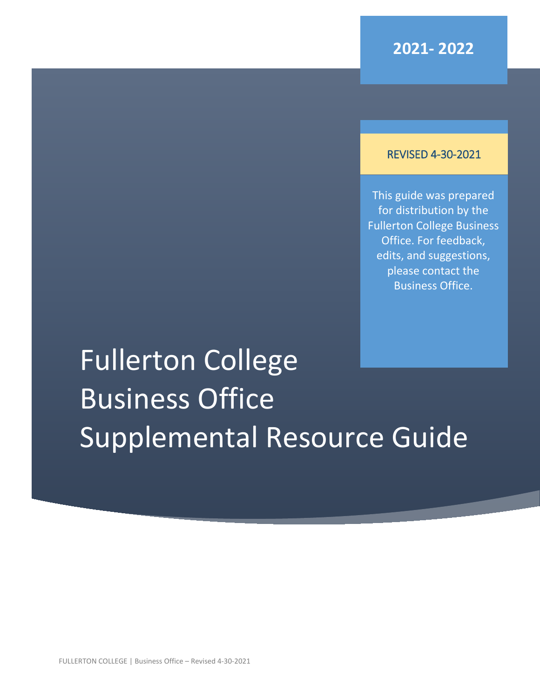#### REVISED 4-30-2021

This guide was prepared for distribution by the Fullerton College Business Office. For feedback, edits, and suggestions, please contact the Business Office.

# Fullerton College Business Office Supplemental Resource Guide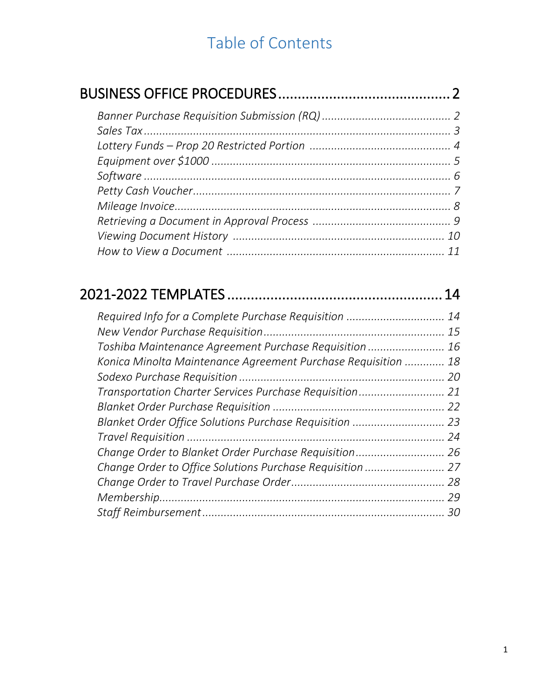# Table of Contents

|                                                               | 14 |
|---------------------------------------------------------------|----|
| Required Info for a Complete Purchase Requisition             | 14 |
|                                                               | 15 |
| Toshiba Maintenance Agreement Purchase Requisition            | 16 |
| Konica Minolta Maintenance Agreement Purchase Requisition  18 |    |
|                                                               | 20 |
|                                                               |    |
|                                                               |    |
| Blanket Order Office Solutions Purchase Requisition  23       |    |
|                                                               | 24 |
| Change Order to Blanket Order Purchase Requisition 26         |    |
| Change Order to Office Solutions Purchase Requisition  27     |    |
|                                                               |    |
|                                                               | 29 |
|                                                               | 30 |
|                                                               |    |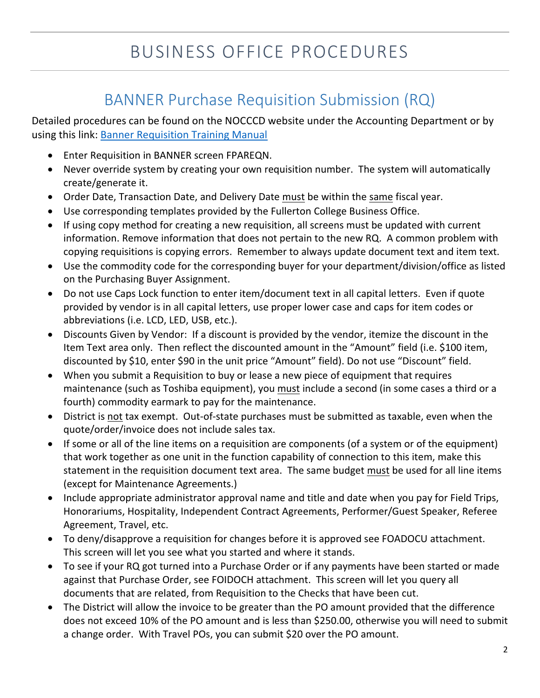# BANNER Purchase Requisition Submission (RQ)

Detailed procedures can be found on the NOCCCD website under the Accounting Department or by using this link: [Banner Requisition Training Manual](http://nocccd.edu/files/rqtrainingbanner7_121306_78966.pdf)

- Enter Requisition in BANNER screen FPAREQN.
- Never override system by creating your own requisition number. The system will automatically create/generate it.
- Order Date, Transaction Date, and Delivery Date must be within the same fiscal year.
- Use corresponding templates provided by the Fullerton College Business Office.
- If using copy method for creating a new requisition, all screens must be updated with current information. Remove information that does not pertain to the new RQ. A common problem with copying requisitions is copying errors. Remember to always update document text and item text.
- Use the commodity code for the corresponding buyer for your department/division/office as listed on the Purchasing Buyer Assignment.
- Do not use Caps Lock function to enter item/document text in all capital letters. Even if quote provided by vendor is in all capital letters, use proper lower case and caps for item codes or abbreviations (i.e. LCD, LED, USB, etc.).
- Discounts Given by Vendor: If a discount is provided by the vendor, itemize the discount in the Item Text area only. Then reflect the discounted amount in the "Amount" field (i.e. \$100 item, discounted by \$10, enter \$90 in the unit price "Amount" field). Do not use "Discount" field.
- When you submit a Requisition to buy or lease a new piece of equipment that requires maintenance (such as Toshiba equipment), you must include a second (in some cases a third or a fourth) commodity earmark to pay for the maintenance.
- District is not tax exempt. Out-of-state purchases must be submitted as taxable, even when the quote/order/invoice does not include sales tax.
- If some or all of the line items on a requisition are components (of a system or of the equipment) that work together as one unit in the function capability of connection to this item, make this statement in the requisition document text area. The same budget must be used for all line items (except for Maintenance Agreements.)
- Include appropriate administrator approval name and title and date when you pay for Field Trips, Honorariums, Hospitality, Independent Contract Agreements, Performer/Guest Speaker, Referee Agreement, Travel, etc.
- To deny/disapprove a requisition for changes before it is approved see FOADOCU attachment. This screen will let you see what you started and where it stands.
- To see if your RQ got turned into a Purchase Order or if any payments have been started or made against that Purchase Order, see FOIDOCH attachment. This screen will let you query all documents that are related, from Requisition to the Checks that have been cut.
- The District will allow the invoice to be greater than the PO amount provided that the difference does not exceed 10% of the PO amount and is less than \$250.00, otherwise you will need to submit a change order. With Travel POs, you can submit \$20 over the PO amount.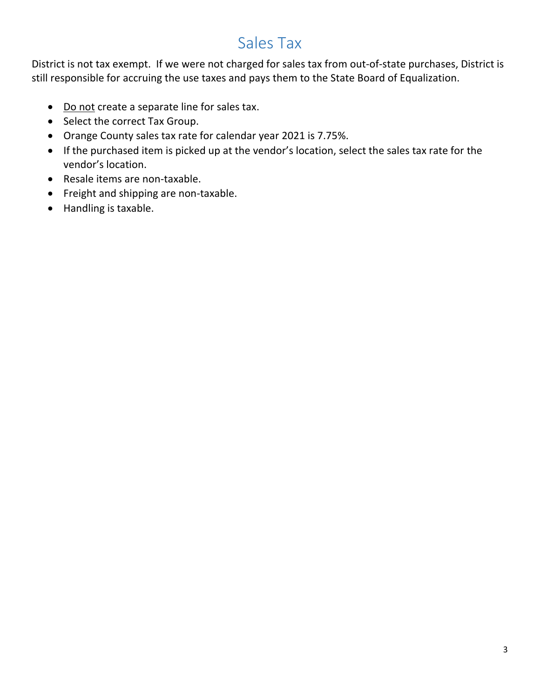# Sales Tax

District is not tax exempt. If we were not charged for sales tax from out-of-state purchases, District is still responsible for accruing the use taxes and pays them to the State Board of Equalization.

- Do not create a separate line for sales tax.
- Select the correct Tax Group.
- Orange County sales tax rate for calendar year 2021 is 7.75%.
- If the purchased item is picked up at the vendor's location, select the sales tax rate for the vendor's location.
- Resale items are non-taxable.
- Freight and shipping are non-taxable.
- Handling is taxable.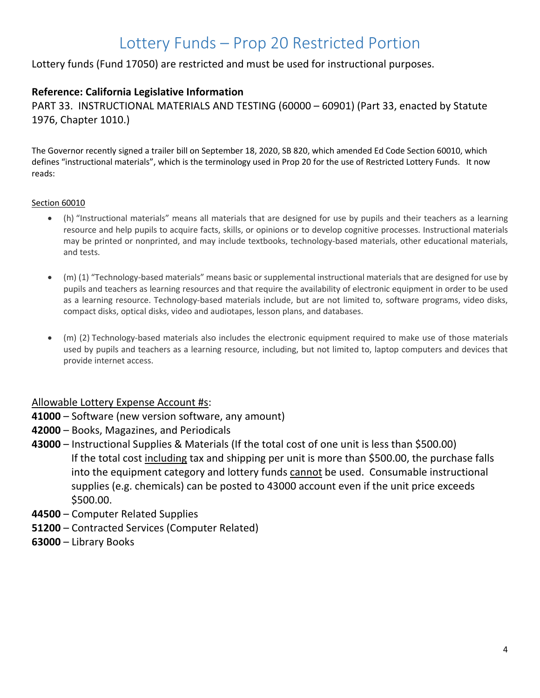# Lottery Funds – Prop 20 Restricted Portion

Lottery funds (Fund 17050) are restricted and must be used for instructional purposes.

#### **Reference: California Legislative Information**

PART 33. INSTRUCTIONAL MATERIALS AND TESTING (60000 – 60901) (Part 33, enacted by Statute 1976, Chapter 1010.)

The Governor recently signed a trailer bill on September 18, 2020, SB 820, which amended Ed Code Section 60010, which defines "instructional materials", which is the terminology used in Prop 20 for the use of Restricted Lottery Funds. It now reads:

#### Section 60010

- (h) "Instructional materials" means all materials that are designed for use by pupils and their teachers as a learning resource and help pupils to acquire facts, skills, or opinions or to develop cognitive processes. Instructional materials may be printed or nonprinted, and may include textbooks, technology-based materials, other educational materials, and tests.
- (m) (1) "Technology-based materials" means basic or supplemental instructional materials that are designed for use by pupils and teachers as learning resources and that require the availability of electronic equipment in order to be used as a learning resource. Technology-based materials include, but are not limited to, software programs, video disks, compact disks, optical disks, video and audiotapes, lesson plans, and databases.
- (m) (2) Technology-based materials also includes the electronic equipment required to make use of those materials used by pupils and teachers as a learning resource, including, but not limited to, laptop computers and devices that provide internet access.

#### Allowable Lottery Expense Account #s:

- **41000** Software (new version software, any amount)
- **42000** Books, Magazines, and Periodicals
- **43000** Instructional Supplies & Materials (If the total cost of one unit is less than \$500.00) If the total cost including tax and shipping per unit is more than \$500.00, the purchase falls into the equipment category and lottery funds cannot be used. Consumable instructional supplies (e.g. chemicals) can be posted to 43000 account even if the unit price exceeds \$500.00.
- **44500** Computer Related Supplies
- **51200** Contracted Services (Computer Related)
- **63000** Library Books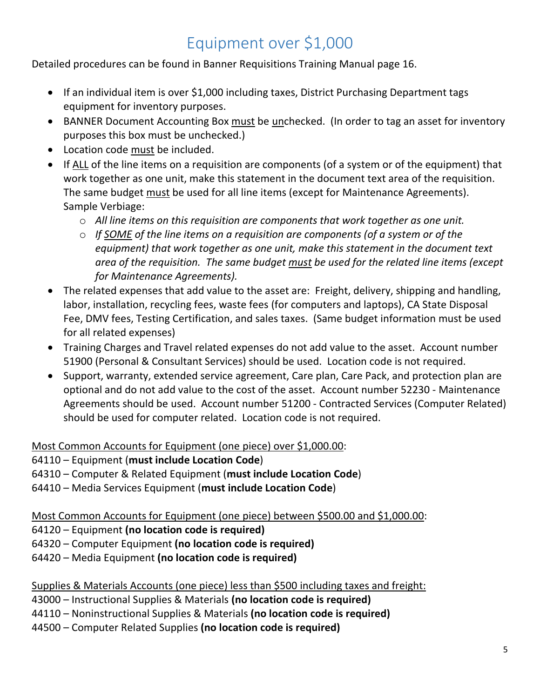# Equipment over \$1,000

Detailed procedures can be found in Banner Requisitions Training Manual page 16.

- If an individual item is over \$1,000 including taxes, District Purchasing Department tags equipment for inventory purposes.
- BANNER Document Accounting Box must be unchecked. (In order to tag an asset for inventory purposes this box must be unchecked.)
- Location code must be included.
- If ALL of the line items on a requisition are components (of a system or of the equipment) that work together as one unit, make this statement in the document text area of the requisition. The same budget must be used for all line items (except for Maintenance Agreements). Sample Verbiage:
	- o *All line items on this requisition are components that work together as one unit.*
	- o *If SOME of the line items on a requisition are components (of a system or of the equipment) that work together as one unit, make this statement in the document text area of the requisition. The same budget must be used for the related line items (except for Maintenance Agreements).*
- The related expenses that add value to the asset are: Freight, delivery, shipping and handling, labor, installation, recycling fees, waste fees (for computers and laptops), CA State Disposal Fee, DMV fees, Testing Certification, and sales taxes. (Same budget information must be used for all related expenses)
- Training Charges and Travel related expenses do not add value to the asset. Account number 51900 (Personal & Consultant Services) should be used. Location code is not required.
- Support, warranty, extended service agreement, Care plan, Care Pack, and protection plan are optional and do not add value to the cost of the asset. Account number 52230 - Maintenance Agreements should be used. Account number 51200 - Contracted Services (Computer Related) should be used for computer related. Location code is not required.

#### Most Common Accounts for Equipment (one piece) over \$1,000.00:

64110 – Equipment (**must include Location Code**)

- 64310 Computer & Related Equipment (**must include Location Code**)
- 64410 Media Services Equipment (**must include Location Code**)

Most Common Accounts for Equipment (one piece) between \$500.00 and \$1,000.00:

64120 – Equipment **(no location code is required)**

64320 – Computer Equipment **(no location code is required)**

64420 – Media Equipment **(no location code is required)**

#### Supplies & Materials Accounts (one piece) less than \$500 including taxes and freight:

43000 – Instructional Supplies & Materials **(no location code is required)**

44110 – Noninstructional Supplies & Materials **(no location code is required)**

44500 – Computer Related Supplies **(no location code is required)**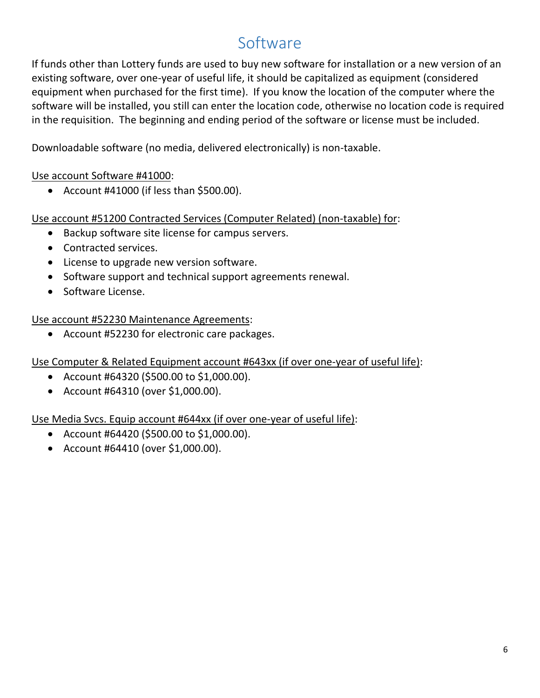# Software

If funds other than Lottery funds are used to buy new software for installation or a new version of an existing software, over one-year of useful life, it should be capitalized as equipment (considered equipment when purchased for the first time). If you know the location of the computer where the software will be installed, you still can enter the location code, otherwise no location code is required in the requisition. The beginning and ending period of the software or license must be included.

Downloadable software (no media, delivered electronically) is non-taxable.

### Use account Software #41000:

• Account #41000 (if less than \$500.00).

Use account #51200 Contracted Services (Computer Related) (non-taxable) for:

- Backup software site license for campus servers.
- Contracted services.
- License to upgrade new version software.
- Software support and technical support agreements renewal.
- Software License.

#### Use account #52230 Maintenance Agreements:

• Account #52230 for electronic care packages.

Use Computer & Related Equipment account #643xx (if over one-year of useful life):

- Account #64320 (\$500.00 to \$1,000.00).
- Account #64310 (over \$1,000.00).

Use Media Svcs. Equip account #644xx (if over one-year of useful life):

- Account #64420 (\$500.00 to \$1,000.00).
- Account #64410 (over \$1,000.00).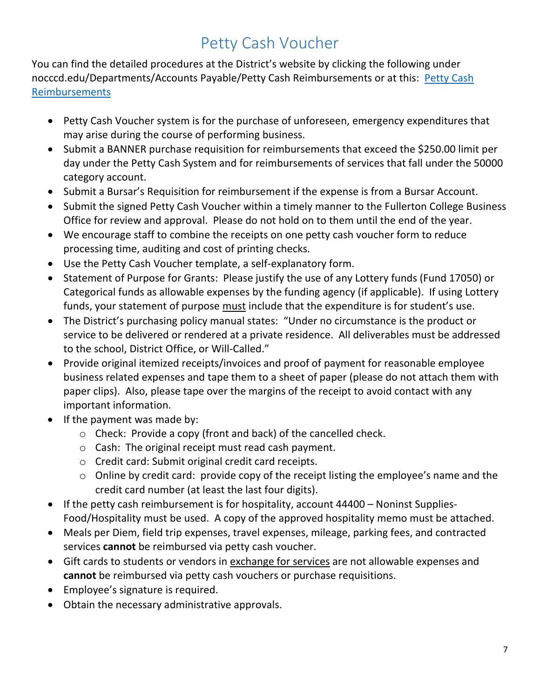# Petty Cash Voucher

You can find the detailed procedures at the District's website by clicking the following under nocccd.edu/Departments/Accounts Payable/Petty Cash Reimbursements or at this: [Petty Cash](http://nocccd.edu/petty-cash-reimbursements)  [Reimbursements](http://nocccd.edu/petty-cash-reimbursements)

- Petty Cash Voucher system is for the purchase of unforeseen, emergency expenditures that may arise during the course of performing business.
- Submit a BANNER purchase requisition for reimbursements that exceed the \$250.00 limit per day under the Petty Cash System and for reimbursements of services that fall under the 50000 category account.
- Submit a Bursar's Requisition for reimbursement if the expense is from a Bursar Account.
- Submit the signed Petty Cash Voucher within a timely manner to the Fullerton College Business Office for review and approval. Please do not hold on to them until the end of the year.
- We encourage staff to combine the receipts on one petty cash voucher form to reduce processing time, auditing and cost of printing checks.
- Use the Petty Cash Voucher template, a self-explanatory form.
- Statement of Purpose for Grants: Please justify the use of any Lottery funds (Fund 17050) or Categorical funds as allowable expenses by the funding agency (if applicable). If using Lottery funds, your statement of purpose must include that the expenditure is for student's use.
- The District's purchasing policy manual states: "Under no circumstance is the product or service to be delivered or rendered at a private residence. All deliverables must be addressed to the school, District Office, or Will-Called."
- Provide original itemized receipts/invoices and proof of payment for reasonable employee business related expenses and tape them to a sheet of paper (please do not attach them with paper clips). Also, please tape over the margins of the receipt to avoid contact with any important information.
- If the payment was made by:
	- o Check: Provide a copy (front and back) of the cancelled check.
	- o Cash: The original receipt must read cash payment.
	- o Credit card: Submit original credit card receipts.
	- o Online by credit card: provide copy of the receipt listing the employee's name and the credit card number (at least the last four digits).
- If the petty cash reimbursement is for hospitality, account 44400 Noninst Supplies-Food/Hospitality must be used. A copy of the approved hospitality memo must be attached.
- Meals per Diem, field trip expenses, travel expenses, mileage, parking fees, and contracted services **cannot** be reimbursed via petty cash voucher.
- Gift cards to students or vendors in exchange for services are not allowable expenses and **cannot** be reimbursed via petty cash vouchers or purchase requisitions.
- Employee's signature is required.
- Obtain the necessary administrative approvals.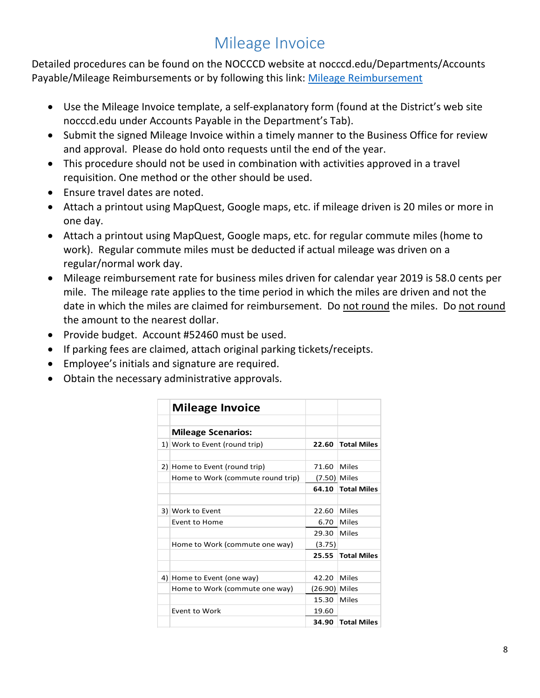# Mileage Invoice

Detailed procedures can be found on the NOCCCD website at nocccd.edu/Departments/Accounts Payable/Mileage Reimbursements or by following this link: [Mileage Reimbursement](http://nocccd.edu/mileage-reimbursements)

- Use the Mileage Invoice template, a self-explanatory form (found at the District's web site nocccd.edu under Accounts Payable in the Department's Tab).
- Submit the signed Mileage Invoice within a timely manner to the Business Office for review and approval. Please do hold onto requests until the end of the year.
- This procedure should not be used in combination with activities approved in a travel requisition. One method or the other should be used.
- Ensure travel dates are noted.
- Attach a printout using MapQuest, Google maps, etc. if mileage driven is 20 miles or more in one day.
- Attach a printout using MapQuest, Google maps, etc. for regular commute miles (home to work). Regular commute miles must be deducted if actual mileage was driven on a regular/normal work day.
- Mileage reimbursement rate for business miles driven for calendar year 2019 is 58.0 cents per mile. The mileage rate applies to the time period in which the miles are driven and not the date in which the miles are claimed for reimbursement. Do not round the miles. Do not round the amount to the nearest dollar.
- Provide budget. Account #52460 must be used.
- If parking fees are claimed, attach original parking tickets/receipts.
- Employee's initials and signature are required.
- Obtain the necessary administrative approvals.

| <b>Mileage Invoice</b>            |               |                    |
|-----------------------------------|---------------|--------------------|
| <b>Mileage Scenarios:</b>         |               |                    |
| 1) Work to Event (round trip)     | 22.60         | <b>Total Miles</b> |
|                                   |               |                    |
| 2) Home to Event (round trip)     | 71.60         | Miles              |
| Home to Work (commute round trip) | (7.50) Miles  |                    |
|                                   | 64.10         | <b>Total Miles</b> |
|                                   |               |                    |
| 3) Work to Event                  | 22.60         | Miles              |
| Event to Home                     | 6.70          | Miles              |
|                                   | 29.30         | Miles              |
| Home to Work (commute one way)    | (3.75)        |                    |
|                                   | 25.55         | <b>Total Miles</b> |
|                                   |               |                    |
| 4) Home to Event (one way)        | 42.20         | Miles              |
| Home to Work (commute one way)    | (26.90) Miles |                    |
|                                   | 15.30         | Miles              |
| Event to Work                     | 19.60         |                    |
|                                   | 34.90         | <b>Total Miles</b> |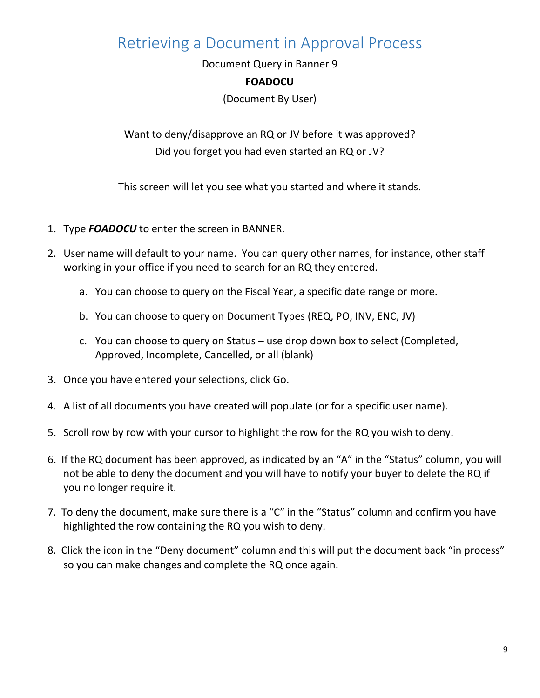# Retrieving a Document in Approval Process

Document Query in Banner 9

#### **FOADOCU**

(Document By User)

Want to deny/disapprove an RQ or JV before it was approved? Did you forget you had even started an RQ or JV?

This screen will let you see what you started and where it stands.

- 1. Type *FOADOCU* to enter the screen in BANNER.
- 2. User name will default to your name. You can query other names, for instance, other staff working in your office if you need to search for an RQ they entered.
	- a. You can choose to query on the Fiscal Year, a specific date range or more.
	- b. You can choose to query on Document Types (REQ, PO, INV, ENC, JV)
	- c. You can choose to query on Status use drop down box to select (Completed, Approved, Incomplete, Cancelled, or all (blank)
- 3. Once you have entered your selections, click Go.
- 4. A list of all documents you have created will populate (or for a specific user name).
- 5. Scroll row by row with your cursor to highlight the row for the RQ you wish to deny.
- 6. If the RQ document has been approved, as indicated by an "A" in the "Status" column, you will not be able to deny the document and you will have to notify your buyer to delete the RQ if you no longer require it.
- 7. To deny the document, make sure there is a "C" in the "Status" column and confirm you have highlighted the row containing the RQ you wish to deny.
- 8. Click the icon in the "Deny document" column and this will put the document back "in process" so you can make changes and complete the RQ once again.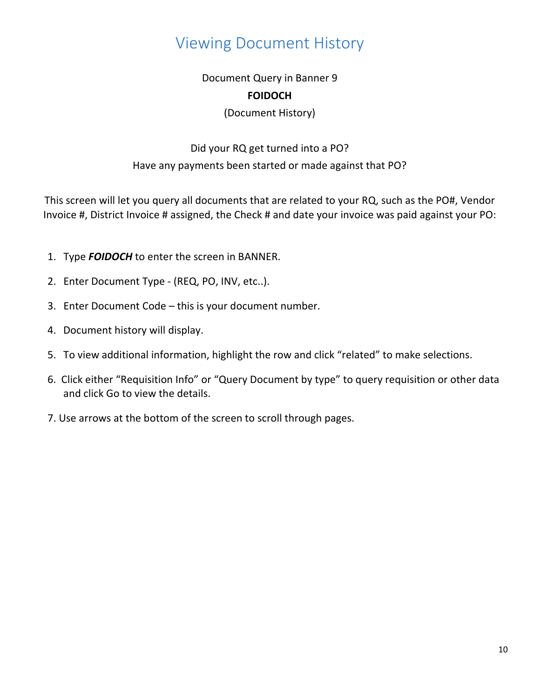# Viewing Document History

### Document Query in Banner 9 **FOIDOCH**

#### (Document History)

### Did your RQ get turned into a PO? Have any payments been started or made against that PO?

This screen will let you query all documents that are related to your RQ, such as the PO#, Vendor Invoice #, District Invoice # assigned, the Check # and date your invoice was paid against your PO:

- 1. Type *FOIDOCH* to enter the screen in BANNER.
- 2. Enter Document Type (REQ, PO, INV, etc..).
- 3. Enter Document Code this is your document number.
- 4. Document history will display.
- 5. To view additional information, highlight the row and click "related" to make selections.
- 6. Click either "Requisition Info" or "Query Document by type" to query requisition or other data and click Go to view the details.
- 7. Use arrows at the bottom of the screen to scroll through pages.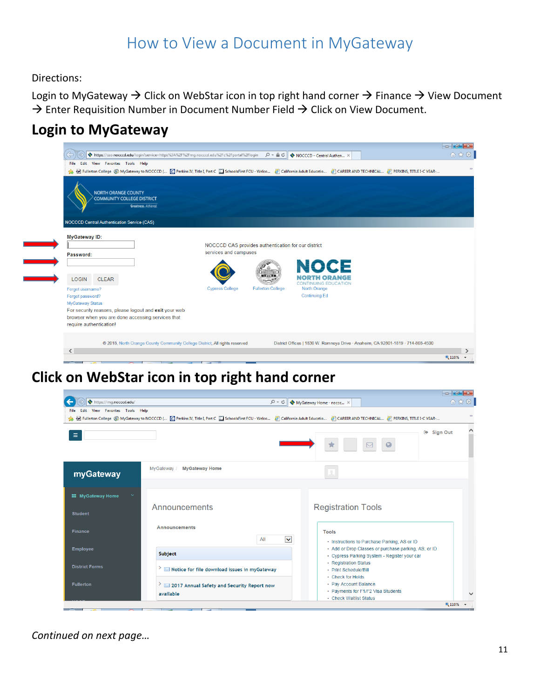# How to View a Document in MyGateway

Directions:

Login to MyGateway  $\rightarrow$  Click on WebStar icon in top right hand corner  $\rightarrow$  Finance  $\rightarrow$  View Document  $\rightarrow$  Enter Requisition Number in Document Number Field  $\rightarrow$  Click on View Document.

### **Login to MyGateway**



### **Click on WebStar icon in top right hand corner**



*Continued on next page…*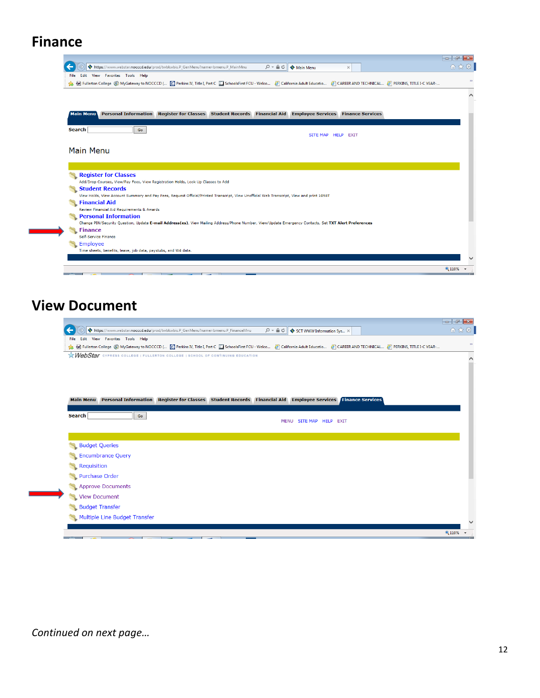# **Finance**

| Edit View Favorites Tools Help<br>File:                                                                                                                                                  | https://www.webstar.nocccd.edu/prod/twbkwbis.P_GenMenu?name=bmenu.P_MainMnu |                        | $\mathcal{Q}$ $\sim$ $\triangle$ $\mathcal{C}$ $\parallel$ $\diamond$ Main Menu | $\times$                   |  | 命 大 僚 |
|------------------------------------------------------------------------------------------------------------------------------------------------------------------------------------------|-----------------------------------------------------------------------------|------------------------|---------------------------------------------------------------------------------|----------------------------|--|-------|
| Fullerton College @ MyGateway to NOCCCD ( C Perkins IV, Title I, Part C Collector SchoolsFirst FCU - Welco 8 California Adult Educatio 8 CAREER AND TECHNICAL 8 PERKINS, TITLE I-C VEAR- |                                                                             |                        |                                                                                 |                            |  |       |
|                                                                                                                                                                                          |                                                                             |                        |                                                                                 |                            |  |       |
|                                                                                                                                                                                          |                                                                             |                        |                                                                                 |                            |  |       |
| <b>Main Menu</b><br><b>Personal Information</b>                                                                                                                                          | <b>Register for Classes</b>                                                 | <b>Student Records</b> | <b>Financial Aid Employee Services</b>                                          | <b>Finance Services</b>    |  |       |
|                                                                                                                                                                                          |                                                                             |                        |                                                                                 |                            |  |       |
| <b>Search</b><br>Go                                                                                                                                                                      |                                                                             |                        | <b>SITE MAP</b>                                                                 | <b>HELP</b><br><b>EXIT</b> |  |       |
|                                                                                                                                                                                          |                                                                             |                        |                                                                                 |                            |  |       |
|                                                                                                                                                                                          |                                                                             |                        |                                                                                 |                            |  |       |
| Main Menu                                                                                                                                                                                |                                                                             |                        |                                                                                 |                            |  |       |
|                                                                                                                                                                                          |                                                                             |                        |                                                                                 |                            |  |       |
|                                                                                                                                                                                          |                                                                             |                        |                                                                                 |                            |  |       |
|                                                                                                                                                                                          |                                                                             |                        |                                                                                 |                            |  |       |
|                                                                                                                                                                                          |                                                                             |                        |                                                                                 |                            |  |       |
| <b>Register for Classes</b>                                                                                                                                                              |                                                                             |                        |                                                                                 |                            |  |       |
| Add/Drop Courses, View/Pay Fees, View Registration Holds, Look Up Classes to Add                                                                                                         |                                                                             |                        |                                                                                 |                            |  |       |
| <b>Student Records</b>                                                                                                                                                                   |                                                                             |                        |                                                                                 |                            |  |       |
| View Holds, View Account Summary and Pay Fees, Request Official/Printed Transcript, View Unofficial Web Transcript, View and print 1098T                                                 |                                                                             |                        |                                                                                 |                            |  |       |
| <b>Financial Aid</b><br>Review Financial Aid Requirements & Awards                                                                                                                       |                                                                             |                        |                                                                                 |                            |  |       |
| <b>Personal Information</b>                                                                                                                                                              |                                                                             |                        |                                                                                 |                            |  |       |
| Change PIN/Security Question, Update E-mail Address(es), View Mailing Address/Phone Number, View/Update Emergency Contacts, Set TXT Alert Preferences                                    |                                                                             |                        |                                                                                 |                            |  |       |
| <b>Finance</b>                                                                                                                                                                           |                                                                             |                        |                                                                                 |                            |  |       |
| Self-Service Finance                                                                                                                                                                     |                                                                             |                        |                                                                                 |                            |  |       |
| Employee                                                                                                                                                                                 |                                                                             |                        |                                                                                 |                            |  |       |
| Time sheets, benefits, leave, job data, paystubs, and W4 data.                                                                                                                           |                                                                             |                        |                                                                                 |                            |  |       |

### **View Document**

|                          | File Edit View Favorites Tools Help                                                                                                                                                |  |
|--------------------------|------------------------------------------------------------------------------------------------------------------------------------------------------------------------------------|--|
|                          | A Fullerton College @ MyGateway to NOCCCD ( @ Perkins IV, Title I, Part C   SchoolsFirst FCU - Welco 8 California Adult Educatio 8 CAREER AND TECHNICAL 8 PERKINS, TITLE I-C YEAR- |  |
|                          | WebStar CYPRESS COLLEGE   FULLERTON COLLEGE   SCHOOL OF CONTINUING EDUCATION                                                                                                       |  |
|                          |                                                                                                                                                                                    |  |
|                          |                                                                                                                                                                                    |  |
|                          |                                                                                                                                                                                    |  |
| <b>Main Menu</b>         | Personal Information Register for Classes Student Records Financial Aid Employee Services Finance Services                                                                         |  |
|                          |                                                                                                                                                                                    |  |
| <b>Search</b>            | Go<br>SITE MAP HELP EXIT<br><b>MENU</b>                                                                                                                                            |  |
|                          |                                                                                                                                                                                    |  |
|                          |                                                                                                                                                                                    |  |
|                          |                                                                                                                                                                                    |  |
| <b>Budget Queries</b>    |                                                                                                                                                                                    |  |
| <b>Encumbrance Query</b> |                                                                                                                                                                                    |  |
| Requisition              |                                                                                                                                                                                    |  |
| <b>Purchase Order</b>    |                                                                                                                                                                                    |  |
| <b>Approve Documents</b> |                                                                                                                                                                                    |  |
| <b>View Document</b>     |                                                                                                                                                                                    |  |
| <b>Budget Transfer</b>   |                                                                                                                                                                                    |  |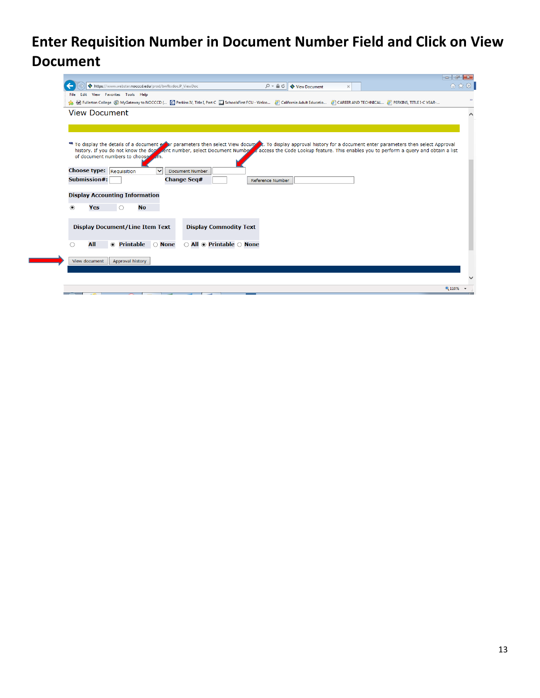# **Enter Requisition Number in Document Number Field and Click on View Document**

| https://www.webstar.nocccd.edu/prod/bwfkvdoc.P_ViewDoc<br>$D - \triangle$ d<br>View Document<br>$\times$<br>File Edit View Favorites Tools Help<br>& P Fullerton College @ MyGateway to NOCCCD ( C Perkins IV, Title I, Part C   SchoolsFirst FCU - Welco 8 California Adult Educatio 8 CAREER AND TECHNICAL 8 PERKINS, TITLE I-C YEAR-<br>To display the details of a document external parameters then select View docum to a spilay approval history for a document enter parameters then select Approval<br>history. If you do not know the dock nent number, select Document Number of access the Code Lookup feature. This enables you to perform a query and obtain a list<br>of document numbers to choose<br><b>Document Number</b><br>$\checkmark$<br><b>Change Seg#</b><br><b>Submission#:</b><br><b>Reference Number</b><br><b>Display Accounting Information</b><br><b>No</b><br>$^{\circ}$<br>Yes<br>O<br><b>Display Document/Line Item Text</b><br><b>Display Commodity Text</b><br>All $\odot$ Printable $\odot$ None<br>All<br>◉ Printable<br>○ None<br>◯<br>View document<br>Approval history<br>电 110% |                                 |  | $\begin{array}{ c c c c c }\n\hline\n\multicolumn{1}{ c }{\sim} & \multicolumn{1}{ c }{\sim} & \multicolumn{1}{ c }{\sim} & \multicolumn{1}{ c }{\sim} & \multicolumn{1}{ c }{\sim} & \multicolumn{1}{ c }{\sim} & \multicolumn{1}{ c }{\sim} & \multicolumn{1}{ c }{\sim} & \multicolumn{1}{ c }{\sim} & \multicolumn{1}{ c }{\sim} & \multicolumn{1}{ c }{\sim} & \multicolumn{1}{ c }{\sim} & \multicolumn{1}{ c }{\sim} & \multic$ |
|---------------------------------------------------------------------------------------------------------------------------------------------------------------------------------------------------------------------------------------------------------------------------------------------------------------------------------------------------------------------------------------------------------------------------------------------------------------------------------------------------------------------------------------------------------------------------------------------------------------------------------------------------------------------------------------------------------------------------------------------------------------------------------------------------------------------------------------------------------------------------------------------------------------------------------------------------------------------------------------------------------------------------------------------------------------------------------------------------------------------------|---------------------------------|--|----------------------------------------------------------------------------------------------------------------------------------------------------------------------------------------------------------------------------------------------------------------------------------------------------------------------------------------------------------------------------------------------------------------------------------------|
|                                                                                                                                                                                                                                                                                                                                                                                                                                                                                                                                                                                                                                                                                                                                                                                                                                                                                                                                                                                                                                                                                                                           |                                 |  | 价 ☆ 戀                                                                                                                                                                                                                                                                                                                                                                                                                                  |
|                                                                                                                                                                                                                                                                                                                                                                                                                                                                                                                                                                                                                                                                                                                                                                                                                                                                                                                                                                                                                                                                                                                           |                                 |  |                                                                                                                                                                                                                                                                                                                                                                                                                                        |
|                                                                                                                                                                                                                                                                                                                                                                                                                                                                                                                                                                                                                                                                                                                                                                                                                                                                                                                                                                                                                                                                                                                           |                                 |  | $\rightarrow$                                                                                                                                                                                                                                                                                                                                                                                                                          |
|                                                                                                                                                                                                                                                                                                                                                                                                                                                                                                                                                                                                                                                                                                                                                                                                                                                                                                                                                                                                                                                                                                                           | <b>View Document</b>            |  | $\wedge$                                                                                                                                                                                                                                                                                                                                                                                                                               |
|                                                                                                                                                                                                                                                                                                                                                                                                                                                                                                                                                                                                                                                                                                                                                                                                                                                                                                                                                                                                                                                                                                                           |                                 |  |                                                                                                                                                                                                                                                                                                                                                                                                                                        |
|                                                                                                                                                                                                                                                                                                                                                                                                                                                                                                                                                                                                                                                                                                                                                                                                                                                                                                                                                                                                                                                                                                                           |                                 |  |                                                                                                                                                                                                                                                                                                                                                                                                                                        |
|                                                                                                                                                                                                                                                                                                                                                                                                                                                                                                                                                                                                                                                                                                                                                                                                                                                                                                                                                                                                                                                                                                                           |                                 |  |                                                                                                                                                                                                                                                                                                                                                                                                                                        |
|                                                                                                                                                                                                                                                                                                                                                                                                                                                                                                                                                                                                                                                                                                                                                                                                                                                                                                                                                                                                                                                                                                                           |                                 |  |                                                                                                                                                                                                                                                                                                                                                                                                                                        |
|                                                                                                                                                                                                                                                                                                                                                                                                                                                                                                                                                                                                                                                                                                                                                                                                                                                                                                                                                                                                                                                                                                                           |                                 |  |                                                                                                                                                                                                                                                                                                                                                                                                                                        |
|                                                                                                                                                                                                                                                                                                                                                                                                                                                                                                                                                                                                                                                                                                                                                                                                                                                                                                                                                                                                                                                                                                                           |                                 |  |                                                                                                                                                                                                                                                                                                                                                                                                                                        |
|                                                                                                                                                                                                                                                                                                                                                                                                                                                                                                                                                                                                                                                                                                                                                                                                                                                                                                                                                                                                                                                                                                                           | <b>Choose type:</b> Requisition |  |                                                                                                                                                                                                                                                                                                                                                                                                                                        |
|                                                                                                                                                                                                                                                                                                                                                                                                                                                                                                                                                                                                                                                                                                                                                                                                                                                                                                                                                                                                                                                                                                                           |                                 |  |                                                                                                                                                                                                                                                                                                                                                                                                                                        |
|                                                                                                                                                                                                                                                                                                                                                                                                                                                                                                                                                                                                                                                                                                                                                                                                                                                                                                                                                                                                                                                                                                                           |                                 |  |                                                                                                                                                                                                                                                                                                                                                                                                                                        |
|                                                                                                                                                                                                                                                                                                                                                                                                                                                                                                                                                                                                                                                                                                                                                                                                                                                                                                                                                                                                                                                                                                                           |                                 |  |                                                                                                                                                                                                                                                                                                                                                                                                                                        |
|                                                                                                                                                                                                                                                                                                                                                                                                                                                                                                                                                                                                                                                                                                                                                                                                                                                                                                                                                                                                                                                                                                                           |                                 |  |                                                                                                                                                                                                                                                                                                                                                                                                                                        |
|                                                                                                                                                                                                                                                                                                                                                                                                                                                                                                                                                                                                                                                                                                                                                                                                                                                                                                                                                                                                                                                                                                                           |                                 |  |                                                                                                                                                                                                                                                                                                                                                                                                                                        |
|                                                                                                                                                                                                                                                                                                                                                                                                                                                                                                                                                                                                                                                                                                                                                                                                                                                                                                                                                                                                                                                                                                                           |                                 |  |                                                                                                                                                                                                                                                                                                                                                                                                                                        |
|                                                                                                                                                                                                                                                                                                                                                                                                                                                                                                                                                                                                                                                                                                                                                                                                                                                                                                                                                                                                                                                                                                                           |                                 |  |                                                                                                                                                                                                                                                                                                                                                                                                                                        |
|                                                                                                                                                                                                                                                                                                                                                                                                                                                                                                                                                                                                                                                                                                                                                                                                                                                                                                                                                                                                                                                                                                                           |                                 |  |                                                                                                                                                                                                                                                                                                                                                                                                                                        |
|                                                                                                                                                                                                                                                                                                                                                                                                                                                                                                                                                                                                                                                                                                                                                                                                                                                                                                                                                                                                                                                                                                                           |                                 |  |                                                                                                                                                                                                                                                                                                                                                                                                                                        |
|                                                                                                                                                                                                                                                                                                                                                                                                                                                                                                                                                                                                                                                                                                                                                                                                                                                                                                                                                                                                                                                                                                                           |                                 |  |                                                                                                                                                                                                                                                                                                                                                                                                                                        |
|                                                                                                                                                                                                                                                                                                                                                                                                                                                                                                                                                                                                                                                                                                                                                                                                                                                                                                                                                                                                                                                                                                                           |                                 |  |                                                                                                                                                                                                                                                                                                                                                                                                                                        |
|                                                                                                                                                                                                                                                                                                                                                                                                                                                                                                                                                                                                                                                                                                                                                                                                                                                                                                                                                                                                                                                                                                                           |                                 |  |                                                                                                                                                                                                                                                                                                                                                                                                                                        |
|                                                                                                                                                                                                                                                                                                                                                                                                                                                                                                                                                                                                                                                                                                                                                                                                                                                                                                                                                                                                                                                                                                                           |                                 |  |                                                                                                                                                                                                                                                                                                                                                                                                                                        |
|                                                                                                                                                                                                                                                                                                                                                                                                                                                                                                                                                                                                                                                                                                                                                                                                                                                                                                                                                                                                                                                                                                                           |                                 |  |                                                                                                                                                                                                                                                                                                                                                                                                                                        |

<u> a strong d</u>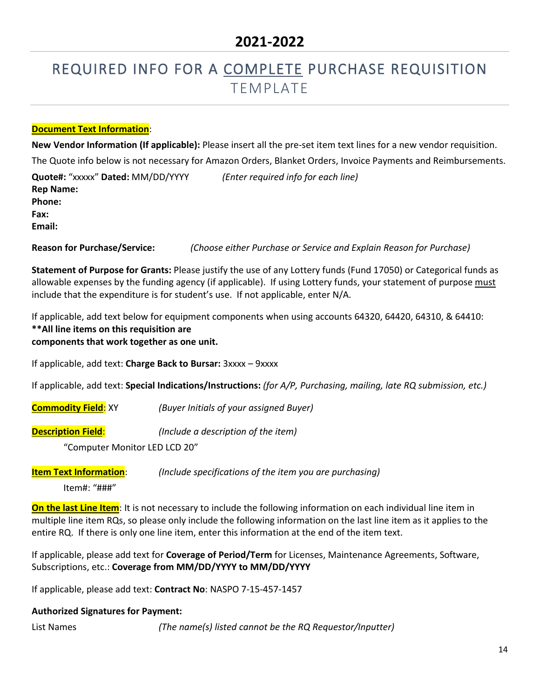# REQUIRED INFO FOR A COMPLETE PURCHASE REQUISITION **TEMPLATE**

#### **Document Text Information**:

**New Vendor Information (If applicable):** Please insert all the pre-set item text lines for a new vendor requisition. The Quote info below is not necessary for Amazon Orders, Blanket Orders, Invoice Payments and Reimbursements.

**Quote#:** "xxxxx" **Dated:** MM/DD/YYYY *(Enter required info for each line)* **Rep Name: Phone: Fax: Email:** 

**Reason for Purchase/Service:** *(Choose either Purchase or Service and Explain Reason for Purchase)*

**Statement of Purpose for Grants:** Please justify the use of any Lottery funds (Fund 17050) or Categorical funds as allowable expenses by the funding agency (if applicable). If using Lottery funds, your statement of purpose must include that the expenditure is for student's use. If not applicable, enter N/A.

If applicable, add text below for equipment components when using accounts 64320, 64420, 64310, & 64410: **\*\*All line items on this requisition are** 

**components that work together as one unit.**

If applicable, add text: **Charge Back to Bursar:** 3xxxx – 9xxxx

If applicable, add text: **Special Indications/Instructions:** *(for A/P, Purchasing, mailing, late RQ submission, etc.)*

**Commodity Field**: XY *(Buyer Initials of your assigned Buyer)*

**Description Field**: *(Include a description of the item)*

"Computer Monitor LED LCD 20"

**Item Text Information**: *(Include specifications of the item you are purchasing)*

Item#: "###"

**On the last Line Item**: It is not necessary to include the following information on each individual line item in multiple line item RQs, so please only include the following information on the last line item as it applies to the entire RQ. If there is only one line item, enter this information at the end of the item text.

If applicable, please add text for **Coverage of Period/Term** for Licenses, Maintenance Agreements, Software, Subscriptions, etc.: **Coverage from MM/DD/YYYY to MM/DD/YYYY**

If applicable, please add text: **Contract No**: NASPO 7-15-457-1457

#### **Authorized Signatures for Payment:**

List Names *(The name(s) listed cannot be the RQ Requestor/Inputter)*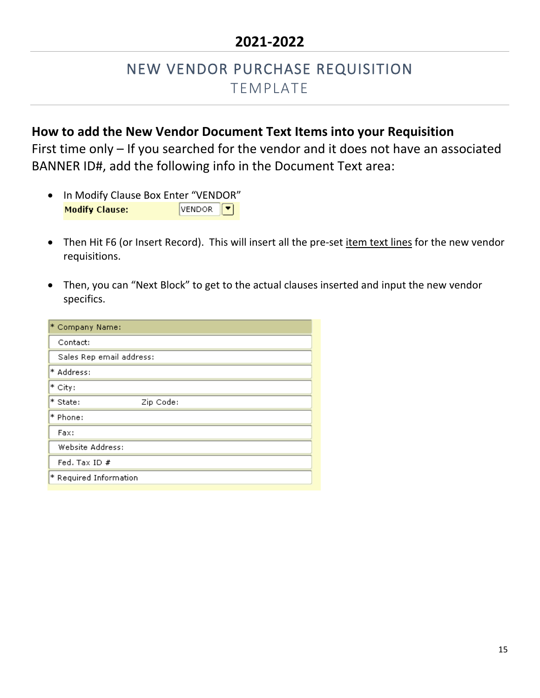### NEW VENDOR PURCHASE REQUISITION TEMPLATE

### **How to add the New Vendor Document Text Items into your Requisition**

First time only – If you searched for the vendor and it does not have an associated BANNER ID#, add the following info in the Document Text area:

- In Modify Clause Box Enter "VENDOR" **Modify Clause:** VENDOR<sup>T</sup>
- Then Hit F6 (or Insert Record). This will insert all the pre-set item text lines for the new vendor requisitions.
- Then, you can "Next Block" to get to the actual clauses inserted and input the new vendor specifics.

| * Company Name:          |           |
|--------------------------|-----------|
| Contact:                 |           |
| Sales Rep email address: |           |
| * Address:               |           |
| * City:                  |           |
| * State:                 | Zip Code: |
| * Phone:                 |           |
| Fax:                     |           |
| Website Address:         |           |
| Fed. Tax ID $#$          |           |
| * Required Information   |           |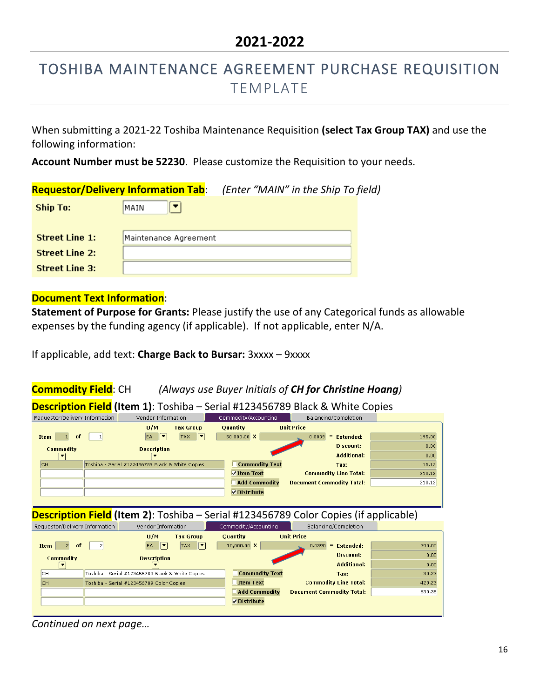# TOSHIBA MAINTENANCE AGREEMENT PURCHASE REQUISITION TEMPLATE

When submitting a 2021-22 Toshiba Maintenance Requisition **(select Tax Group TAX)** and use the following information:

**Account Number must be 52230**. Please customize the Requisition to your needs.

|                       | <b>Requestor/Delivery Information Tab:</b> | (Enter "MAIN" in the Ship To field) |  |
|-----------------------|--------------------------------------------|-------------------------------------|--|
| <b>Ship To:</b>       | MAIN                                       |                                     |  |
|                       |                                            |                                     |  |
| <b>Street Line 1:</b> | Maintenance Agreement                      |                                     |  |
| <b>Street Line 2:</b> |                                            |                                     |  |
| <b>Street Line 3:</b> |                                            |                                     |  |

#### **Document Text Information**:

**Statement of Purpose for Grants:** Please justify the use of any Categorical funds as allowable expenses by the funding agency (if applicable). If not applicable, enter N/A.

If applicable, add text: **Charge Back to Bursar:** 3xxxx – 9xxxx

#### **Commodity Field**: CH *(Always use Buyer Initials of CH for Christine Hoang)*



**Description Field (Item 2)**: Toshiba – Serial #123456789 Color Copies (if applicable)

| Requestor/Delivery Information |                                                  | Vendor Information       |                                        |                 |                       |                   | Commodity/Accounting             |        | Balancing/Completion |  |
|--------------------------------|--------------------------------------------------|--------------------------|----------------------------------------|-----------------|-----------------------|-------------------|----------------------------------|--------|----------------------|--|
|                                |                                                  | U/M                      | <b>Tax Group</b>                       | <b>Ouantity</b> |                       | <b>Unit Price</b> |                                  |        |                      |  |
| of<br><b>Item</b>              |                                                  | ∣▼<br>EA.                | $\overline{\phantom{a}}$<br><b>TAX</b> |                 | 10,000.00 X           |                   | 0.0390<br>$=$<br>Extended:       | 390.00 |                      |  |
| <b>Commodity</b>               |                                                  | <b>Description</b>       |                                        |                 |                       |                   | Discount:                        | 0.00   |                      |  |
| $\overline{\phantom{a}}$       |                                                  | $\overline{\phantom{a}}$ |                                        |                 |                       |                   | <b>Additional:</b>               | 0.00   |                      |  |
| <b>CH</b>                      | Toshiba - Serial #123456789 Black & White Copies |                          |                                        |                 | <b>Commodity Text</b> |                   | Tax:                             | 30.23  |                      |  |
| IСH                            | Toshiba - Serial #123456789 Color Copies         |                          |                                        |                 | <b>Item Text</b>      |                   | <b>Commodity Line Total:</b>     | 420.23 |                      |  |
|                                |                                                  |                          |                                        |                 | <b>Add Commodity</b>  |                   | <b>Document Commodity Total:</b> | 630.35 |                      |  |
|                                |                                                  |                          |                                        |                 | Distribute            |                   |                                  |        |                      |  |
|                                |                                                  |                          |                                        |                 |                       |                   |                                  |        |                      |  |

*Continued on next page…*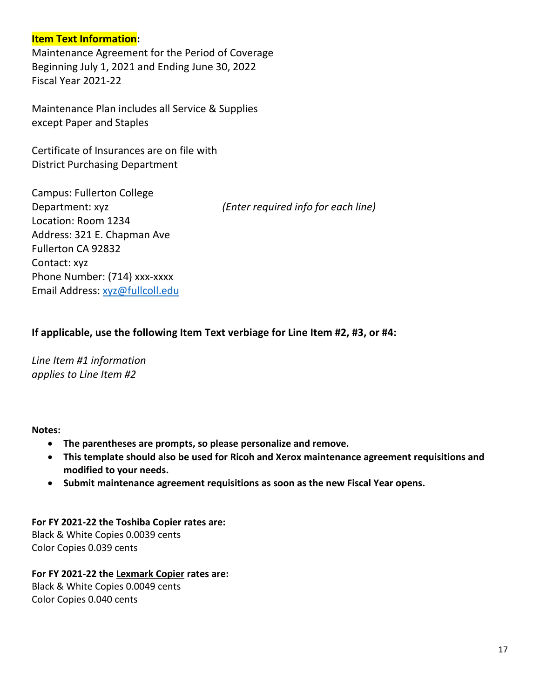#### **Item Text Information:**

Maintenance Agreement for the Period of Coverage Beginning July 1, 2021 and Ending June 30, 2022 Fiscal Year 2021-22

Maintenance Plan includes all Service & Supplies except Paper and Staples

Certificate of Insurances are on file with District Purchasing Department

Campus: Fullerton College Department: xyz *(Enter required info for each line)* Location: Room 1234 Address: 321 E. Chapman Ave Fullerton CA 92832 Contact: xyz Phone Number: (714) xxx-xxxx Email Address: [xyz@fullcoll.edu](mailto:xyz@fullcoll.edu)

#### **If applicable, use the following Item Text verbiage for Line Item #2, #3, or #4:**

*Line Item #1 information applies to Line Item #2* 

#### **Notes:**

- **The parentheses are prompts, so please personalize and remove.**
- **This template should also be used for Ricoh and Xerox maintenance agreement requisitions and modified to your needs.**
- **Submit maintenance agreement requisitions as soon as the new Fiscal Year opens.**

**For FY 2021-22 the Toshiba Copier rates are:** Black & White Copies 0.0039 cents Color Copies 0.039 cents

#### **For FY 2021-22 the Lexmark Copier rates are:**

Black & White Copies 0.0049 cents Color Copies 0.040 cents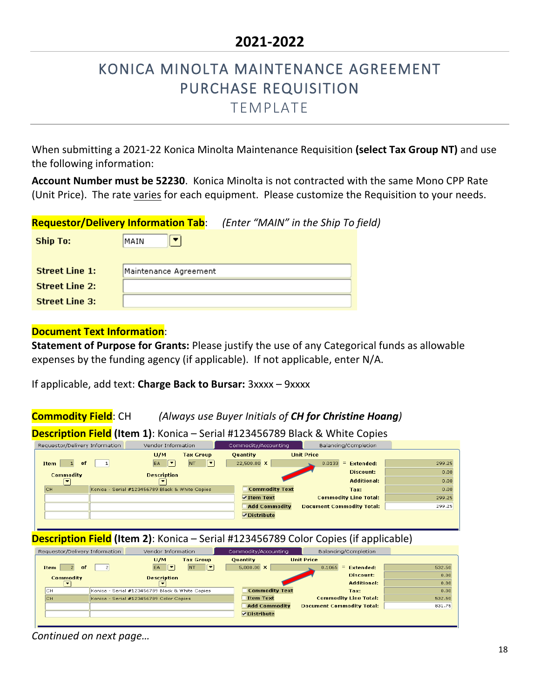# KONICA MINOLTA MAINTENANCE AGREEMENT PURCHASE REQUISITION

TEMPLATE

When submitting a 2021-22 Konica Minolta Maintenance Requisition **(select Tax Group NT)** and use the following information:

**Account Number must be 52230**. Konica Minolta is not contracted with the same Mono CPP Rate (Unit Price). The rate varies for each equipment. Please customize the Requisition to your needs.

|                       | <b>Requestor/Delivery Information Tab:</b> | (Enter "MAIN" in the Ship To field) |  |
|-----------------------|--------------------------------------------|-------------------------------------|--|
| Ship To:              | <b>MAIN</b>                                |                                     |  |
|                       |                                            |                                     |  |
| <b>Street Line 1:</b> | Maintenance Agreement                      |                                     |  |
| <b>Street Line 2:</b> |                                            |                                     |  |
| <b>Street Line 3:</b> |                                            |                                     |  |

#### **Document Text Information**:

**Statement of Purpose for Grants:** Please justify the use of any Categorical funds as allowable expenses by the funding agency (if applicable). If not applicable, enter N/A.

If applicable, add text: **Charge Back to Bursar:** 3xxxx – 9xxxx

**Commodity Field**: CH *(Always use Buyer Initials of CH for Christine Hoang)*

**Description Field (Item 1)**: Konica – Serial #123456789 Black & White Copies

| Requestor/Delivery Information | Vendor Information                              | Commodity/Accounting      | Balancing/Completion             |        |
|--------------------------------|-------------------------------------------------|---------------------------|----------------------------------|--------|
|                                | U/M<br><b>Tax Group</b>                         | <b>Ouantity</b>           | <b>Unit Price</b>                |        |
| <b>Item</b><br>of              | ∣▼<br>▼<br>EA.<br><b>NT</b>                     | 22,500.00 X               | 0.0133<br>Extended:<br>$=$       | 299.25 |
| <b>Commodity</b>               | <b>Description</b>                              |                           | Discount:                        | 0.00   |
| ▼                              | $\overline{\phantom{a}}$                        |                           | <b>Additional:</b>               | 0.00   |
| Існ                            | Konica - Serial #123456789 Black & White Copies | <b>Commodity Text</b>     | Tax:                             | 0.00   |
|                                |                                                 | $\triangledown$ Item Text | <b>Commodity Line Total:</b>     | 299.25 |
|                                |                                                 | <b>Add Commodity</b>      | <b>Document Commodity Total:</b> | 299.25 |
|                                |                                                 | $\nabla$ Distribute       |                                  |        |
|                                |                                                 |                           |                                  |        |

#### **Description Field (Item 2)**: Konica – Serial #123456789 Color Copies (if applicable)

| Requestor/Delivery Information | Vendor Information                              |                  |                   | Commodity/Accounting  |                   | Balancing/Completion             |        |
|--------------------------------|-------------------------------------------------|------------------|-------------------|-----------------------|-------------------|----------------------------------|--------|
|                                | U/M                                             | <b>Tax Group</b> | <b>Ouantity</b>   |                       | <b>Unit Price</b> |                                  |        |
| <b>Item</b><br>0f              | ⊩∙<br>EA.                                       | ⊩∽<br><b>NT</b>  | $5,000.00 \times$ |                       | 0.1065            | Extended:<br>$=$                 | 532.50 |
| <b>Commodity</b>               | <b>Description</b>                              |                  |                   |                       |                   | Discount:                        | 0.00   |
| $\cdot$                        | $\overline{\phantom{a}}$                        |                  |                   |                       |                   | <b>Additional:</b>               | 0.00   |
| <b>CH</b>                      | Konica - Serial #123456789 Black & White Copies |                  |                   | <b>Commodity Text</b> |                   | Tax:                             | 0.00   |
| lсн                            | Konica - Serial #123456789 Color Copies         |                  | <b>Item Text</b>  |                       |                   | <b>Commodity Line Total:</b>     | 532.50 |
|                                |                                                 |                  |                   | <b>Add Commodity</b>  |                   | <b>Document Commodity Total:</b> | 831.75 |
|                                |                                                 |                  | Distribute        |                       |                   |                                  |        |
|                                |                                                 |                  |                   |                       |                   |                                  |        |

*Continued on next page…*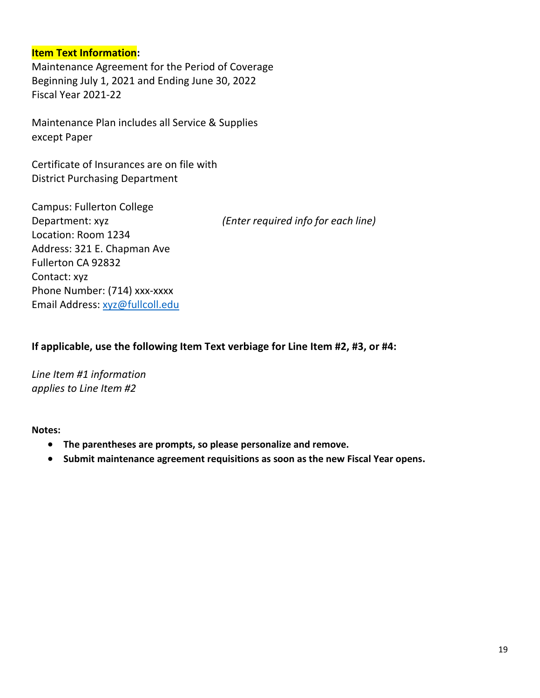#### **Item Text Information:**

Maintenance Agreement for the Period of Coverage Beginning July 1, 2021 and Ending June 30, 2022 Fiscal Year 2021-22

Maintenance Plan includes all Service & Supplies except Paper

Certificate of Insurances are on file with District Purchasing Department

| <b>Campus: Fullerton College</b> |                                     |
|----------------------------------|-------------------------------------|
| Department: xyz                  | (Enter required info for each line) |
| Location: Room 1234              |                                     |
| Address: 321 E. Chapman Ave      |                                     |
| Fullerton CA 92832               |                                     |
| Contact: xyz                     |                                     |
| Phone Number: (714) xxx-xxxx     |                                     |
| Email Address: xyz@fullcoll.edu  |                                     |

**If applicable, use the following Item Text verbiage for Line Item #2, #3, or #4:**

*Line Item #1 information applies to Line Item #2*

- **The parentheses are prompts, so please personalize and remove.**
- **Submit maintenance agreement requisitions as soon as the new Fiscal Year opens.**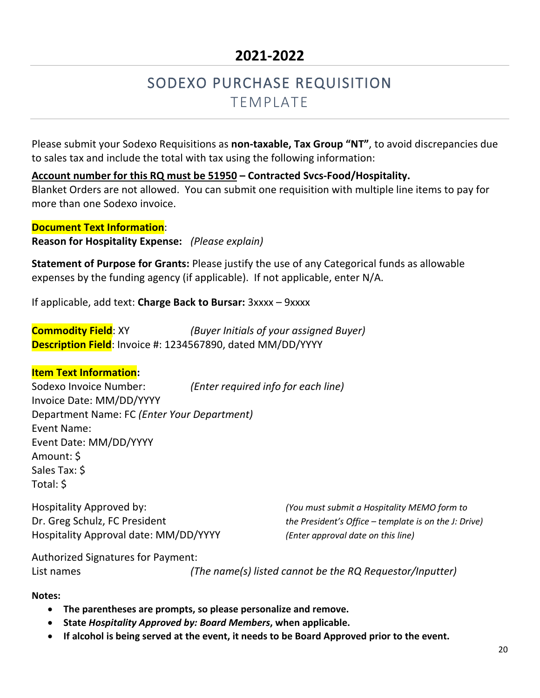# SODEXO PURCHASE REQUISITION **TEMPLATE**

Please submit your Sodexo Requisitions as **non-taxable, Tax Group "NT"**, to avoid discrepancies due to sales tax and include the total with tax using the following information:

**Account number for this RQ must be 51950 – Contracted Svcs-Food/Hospitality.** Blanket Orders are not allowed. You can submit one requisition with multiple line items to pay for more than one Sodexo invoice.

**Document Text Information**: **Reason for Hospitality Expense:** *(Please explain)*

**Statement of Purpose for Grants:** Please justify the use of any Categorical funds as allowable expenses by the funding agency (if applicable). If not applicable, enter N/A.

If applicable, add text: **Charge Back to Bursar:** 3xxxx – 9xxxx

**Commodity Field**: XY *(Buyer Initials of your assigned Buyer)* **Description Field**: Invoice #: 1234567890, dated MM/DD/YYYY

#### **Item Text Information:**

Sodexo Invoice Number: *(Enter required info for each line)* Invoice Date: MM/DD/YYYY Department Name: FC *(Enter Your Department)* Event Name: Event Date: MM/DD/YYYY Amount: \$ Sales Tax: \$ Total: \$

Hospitality Approved by: *(You must submit a Hospitality MEMO form to* Hospitality Approval date: MM/DD/YYYY *(Enter approval date on this line)*

Dr. Greg Schulz, FC President *the President's Office – template is on the J: Drive*)

Authorized Signatures for Payment:

List names *(The name(s) listed cannot be the RQ Requestor/Inputter)*

- **The parentheses are prompts, so please personalize and remove.**
- **State** *Hospitality Approved by: Board Members***, when applicable.**
- **If alcohol is being served at the event, it needs to be Board Approved prior to the event.**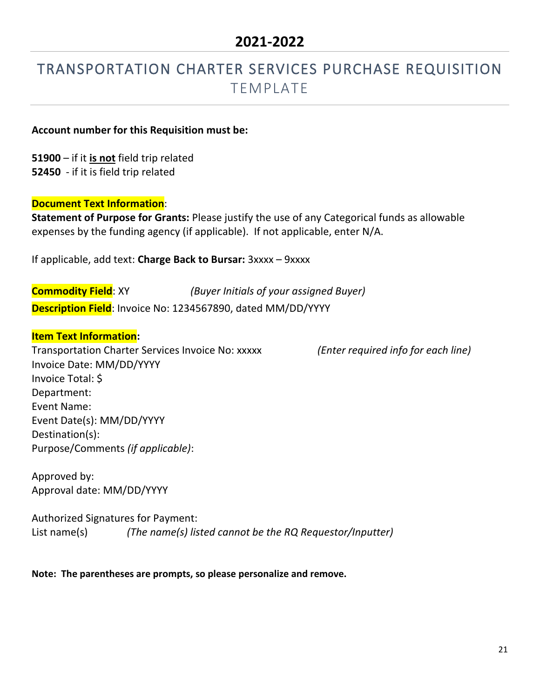## TRANSPORTATION CHARTER SERVICES PURCHASE REQUISITION TEMPLATE

#### **Account number for this Requisition must be:**

**51900** – if it **is not** field trip related **52450** - if it is field trip related

#### **Document Text Information**:

**Statement of Purpose for Grants:** Please justify the use of any Categorical funds as allowable expenses by the funding agency (if applicable). If not applicable, enter N/A.

If applicable, add text: **Charge Back to Bursar:** 3xxxx – 9xxxx

**Commodity Field**: XY *(Buyer Initials of your assigned Buyer)* **Description Field**: Invoice No: 1234567890, dated MM/DD/YYYY

#### **Item Text Information:**

Transportation Charter Services Invoice No: xxxxx *(Enter required info for each line)* Invoice Date: MM/DD/YYYY Invoice Total: \$ Department: Event Name: Event Date(s): MM/DD/YYYY Destination(s): Purpose/Comments *(if applicable)*:

Approved by: Approval date: MM/DD/YYYY

Authorized Signatures for Payment: List name(s) *(The name(s) listed cannot be the RQ Requestor/Inputter)*

**Note: The parentheses are prompts, so please personalize and remove.**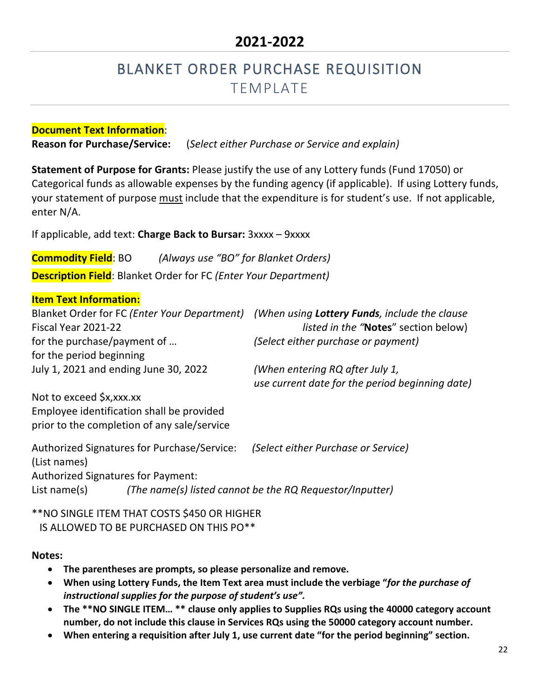# BLANKET ORDER PURCHASE REQUISITION TEMPLATE

**Document Text Information**: **Reason for Purchase/Service:** (*Select either Purchase or Service and explain)*

**Statement of Purpose for Grants:** Please justify the use of any Lottery funds (Fund 17050) or Categorical funds as allowable expenses by the funding agency (if applicable). If using Lottery funds, your statement of purpose must include that the expenditure is for student's use. If not applicable, enter N/A.

If applicable, add text: **Charge Back to Bursar:** 3xxxx – 9xxxx

**Commodity Field**: BO *(Always use "BO" for Blanket Orders)* **Description Field**: Blanket Order for FC *(Enter Your Department)*

#### **Item Text Information:**

| Blanket Order for FC (Enter Your Department)<br>Fiscal Year 2021-22                                                      | (When using <b>Lottery Funds</b> , include the clause<br><i>listed in the "Notes" section below)</i> |
|--------------------------------------------------------------------------------------------------------------------------|------------------------------------------------------------------------------------------------------|
| for the purchase/payment of<br>for the period beginning                                                                  | (Select either purchase or payment)                                                                  |
| July 1, 2021 and ending June 30, 2022                                                                                    | (When entering RQ after July 1,<br>use current date for the period beginning date)                   |
| Not to exceed \$x, xxx.xx<br>Employee identification shall be provided<br>prior to the completion of any sale/service    |                                                                                                      |
| Authorized Signatures for Purchase/Service:<br>(List names)<br><b>Authorized Signatures for Payment:</b><br>List name(s) | (Select either Purchase or Service)<br>(The name(s) listed cannot be the RQ Requestor/Inputter)      |
|                                                                                                                          |                                                                                                      |

\*\*NO SINGLE ITEM THAT COSTS \$450 OR HIGHER IS ALLOWED TO BE PURCHASED ON THIS PO\*\*

- **The parentheses are prompts, so please personalize and remove.**
- **When using Lottery Funds, the Item Text area must include the verbiage "***for the purchase of instructional supplies for the purpose of student's use".*
- **The \*\*NO SINGLE ITEM… \*\* clause only applies to Supplies RQs using the 40000 category account number, do not include this clause in Services RQs using the 50000 category account number.**
- **When entering a requisition after July 1, use current date "for the period beginning" section.**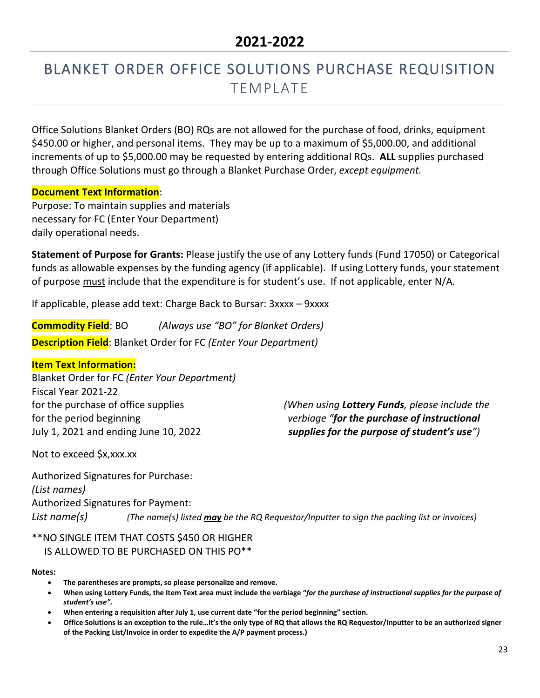# BLANKET ORDER OFFICE SOLUTIONS PURCHASE REQUISITION TEMPLATE

Office Solutions Blanket Orders (BO) RQs are not allowed for the purchase of food, drinks, equipment \$450.00 or higher, and personal items. They may be up to a maximum of \$5,000.00, and additional increments of up to \$5,000.00 may be requested by entering additional RQs. **ALL** supplies purchased through Office Solutions must go through a Blanket Purchase Order, *except equipment.*

#### **Document Text Information**:

Purpose: To maintain supplies and materials necessary for FC (Enter Your Department) daily operational needs.

**Statement of Purpose for Grants:** Please justify the use of any Lottery funds (Fund 17050) or Categorical funds as allowable expenses by the funding agency (if applicable). If using Lottery funds, your statement of purpose must include that the expenditure is for student's use. If not applicable, enter N/A.

If applicable, please add text: Charge Back to Bursar: 3xxxx – 9xxxx

**Commodity Field**: BO *(Always use "BO" for Blanket Orders)* **Description Field**: Blanket Order for FC *(Enter Your Department)*

#### **Item Text Information:**

Blanket Order for FC *(Enter Your Department)* Fiscal Year 2021-22 for the period beginning *verbiage "for the purchase of instructional* July 1, 2021 and ending June 10, 2022 *supplies for the purpose of student's use")*

for the purchase of office supplies *(When using Lottery Funds, please include the*

Not to exceed \$x,xxx.xx

Authorized Signatures for Purchase: *(List names)* Authorized Signatures for Payment: *List name(s) (The name(s) listed may be the RQ Requestor/Inputter to sign the packing list or invoices)*

#### \*\*NO SINGLE ITEM THAT COSTS \$450 OR HIGHER IS ALLOWED TO BE PURCHASED ON THIS PO\*\*

- **The parentheses are prompts, so please personalize and remove.**
- **When using Lottery Funds, the Item Text area must include the verbiage "***for the purchase of instructional supplies for the purpose of student's use".*
- **When entering a requisition after July 1, use current date "for the period beginning" section.**
- **Office Solutions is an exception to the rule…it's the only type of RQ that allows the RQ Requestor/Inputter to be an authorized signer of the Packing List/Invoice in order to expedite the A/P payment process.)**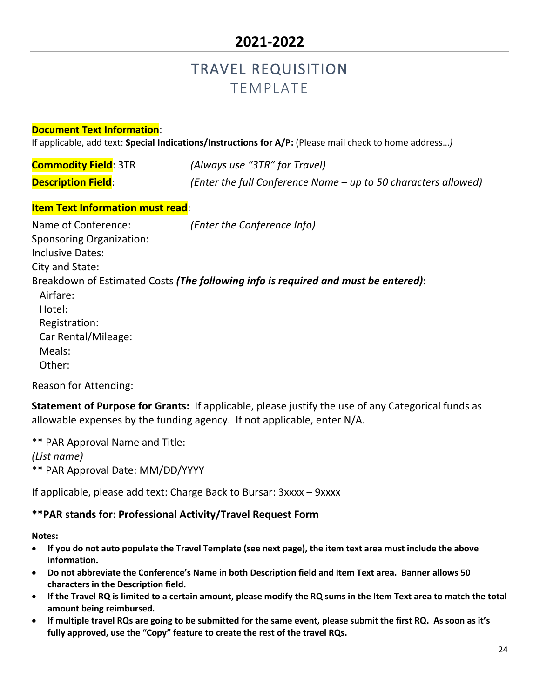### TRAVEL REQUISITION TEMPLATE

#### **Document Text Information**:

If applicable, add text: **Special Indications/Instructions for A/P:** (Please mail check to home address…*)*

| <b>Commodity Field: 3TR</b> | (Always use "3TR" for Travel)                                  |
|-----------------------------|----------------------------------------------------------------|
| <b>Description Field:</b>   | (Enter the full Conference Name – up to 50 characters allowed) |

#### **Item Text Information must read**:

| Name of Conference:             | (Enter the Conference Info)                                                        |
|---------------------------------|------------------------------------------------------------------------------------|
| <b>Sponsoring Organization:</b> |                                                                                    |
| <b>Inclusive Dates:</b>         |                                                                                    |
| City and State:                 |                                                                                    |
|                                 | Breakdown of Estimated Costs (The following info is required and must be entered): |
| Airfare:                        |                                                                                    |
| Hotel:                          |                                                                                    |
| Registration:                   |                                                                                    |
| Car Rental/Mileage:             |                                                                                    |
| Meals:                          |                                                                                    |
| Other:                          |                                                                                    |

Reason for Attending:

**Statement of Purpose for Grants:** If applicable, please justify the use of any Categorical funds as allowable expenses by the funding agency. If not applicable, enter N/A.

\*\* PAR Approval Name and Title: *(List name)* \*\* PAR Approval Date: MM/DD/YYYY

If applicable, please add text: Charge Back to Bursar: 3xxxx – 9xxxx

#### **\*\*PAR stands for: Professional Activity/Travel Request Form**

- **If you do not auto populate the Travel Template (see next page), the item text area must include the above information.**
- **Do not abbreviate the Conference's Name in both Description field and Item Text area. Banner allows 50 characters in the Description field.**
- **If the Travel RQ is limited to a certain amount, please modify the RQ sums in the Item Text area to match the total amount being reimbursed.**
- **If multiple travel RQs are going to be submitted for the same event, please submit the first RQ. As soon as it's fully approved, use the "Copy" feature to create the rest of the travel RQs.**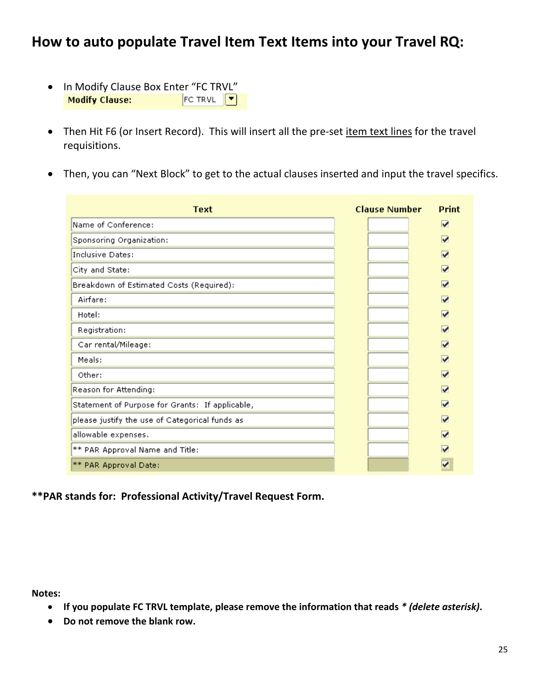### **How to auto populate Travel Item Text Items into your Travel RQ:**

- In Modify Clause Box Enter "FC TRVL"<br>**Modify Clause:** FC TRVL TRVL **Modify Clause:**
- Then Hit F6 (or Insert Record). This will insert all the pre-set item text lines for the travel requisitions.
- Then, you can "Next Block" to get to the actual clauses inserted and input the travel specifics.

| Text                                            | <b>Clause Number</b> | <b>Print</b> |
|-------------------------------------------------|----------------------|--------------|
| Name of Conference:                             |                      | V            |
| Sponsoring Organization:                        |                      | ⊽            |
| Inclusive Dates:                                |                      | ☑            |
| City and State:                                 |                      | ⊽            |
| Breakdown of Estimated Costs (Required):        |                      | ⊽            |
| Airfare:                                        |                      | ⊽            |
| Hotel:                                          |                      | ☑            |
| Registration:                                   |                      | ⊽            |
| Car rental/Mileage:                             |                      | M            |
| Meals:                                          |                      | M            |
| Other:                                          |                      | M            |
| Reason for Attending:                           |                      | ⊽            |
| Statement of Purpose for Grants: If applicable, |                      | M            |
| please justify the use of Categorical funds as  |                      | ⊽            |
| allowable expenses.                             |                      | M            |
| ** PAR Approval Name and Title:                 |                      | ⊽            |
| ** PAR Approval Date:                           |                      | v            |

**\*\*PAR stands for: Professional Activity/Travel Request Form.** 

- **If you populate FC TRVL template, please remove the information that reads** *\* (delete asterisk)***.**
- **Do not remove the blank row.**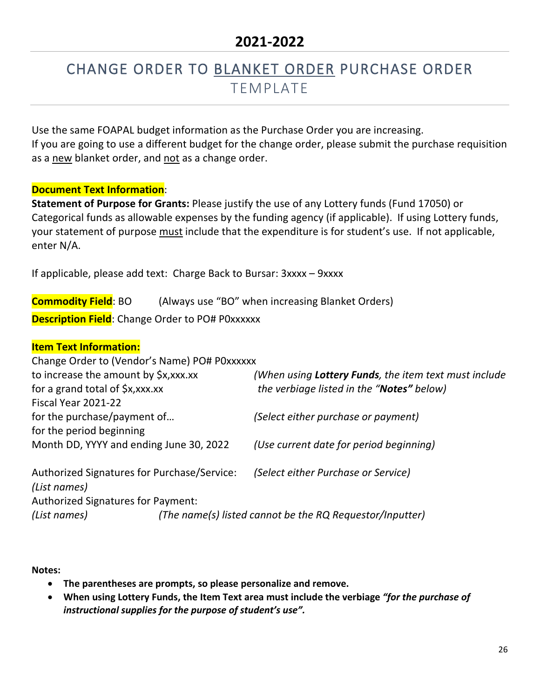# CHANGE ORDER TO BLANKET ORDER PURCHASE ORDER TEMPLATE

Use the same FOAPAL budget information as the Purchase Order you are increasing. If you are going to use a different budget for the change order, please submit the purchase requisition as a new blanket order, and not as a change order.

#### **Document Text Information**:

**Statement of Purpose for Grants:** Please justify the use of any Lottery funds (Fund 17050) or Categorical funds as allowable expenses by the funding agency (if applicable). If using Lottery funds, your statement of purpose must include that the expenditure is for student's use. If not applicable, enter N/A.

If applicable, please add text: Charge Back to Bursar: 3xxxx – 9xxxx

**Commodity Field**: BO (Always use "BO" when increasing Blanket Orders) **Description Field:** Change Order to PO# P0xxxxxx

#### **Item Text Information:**

Change Order to (Vendor's Name) PO# P0xxxxxx

| to increase the amount by \$x, xxx.xx       | (When using Lottery Funds, the item text must include    |
|---------------------------------------------|----------------------------------------------------------|
| for a grand total of \$x, xxx.xx            | the verbiage listed in the "Notes" below)                |
| Fiscal Year 2021-22                         |                                                          |
| for the purchase/payment of                 | (Select either purchase or payment)                      |
| for the period beginning                    |                                                          |
| Month DD, YYYY and ending June 30, 2022     | (Use current date for period beginning)                  |
| Authorized Signatures for Purchase/Service: | (Select either Purchase or Service)                      |
| (List names)                                |                                                          |
| Authorized Signatures for Payment:          |                                                          |
| (List names)                                | (The name(s) listed cannot be the RQ Requestor/Inputter) |

- **The parentheses are prompts, so please personalize and remove.**
- **When using Lottery Funds, the Item Text area must include the verbiage** *"for the purchase of instructional supplies for the purpose of student's use".*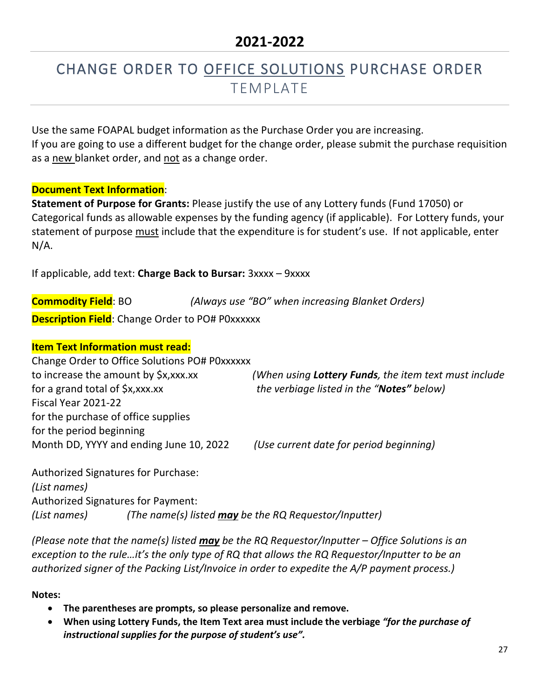# CHANGE ORDER TO OFFICE SOLUTIONS PURCHASE ORDER TEMPLATE

Use the same FOAPAL budget information as the Purchase Order you are increasing. If you are going to use a different budget for the change order, please submit the purchase requisition as a new blanket order, and not as a change order.

#### **Document Text Information**:

**Statement of Purpose for Grants:** Please justify the use of any Lottery funds (Fund 17050) or Categorical funds as allowable expenses by the funding agency (if applicable). For Lottery funds, your statement of purpose must include that the expenditure is for student's use. If not applicable, enter N/A.

If applicable, add text: **Charge Back to Bursar:** 3xxxx – 9xxxx

**Commodity Field**: BO *(Always use "BO" when increasing Blanket Orders)* **Description Field:** Change Order to PO# P0xxxxxx

#### **Item Text Information must read:**

Change Order to Office Solutions PO# P0xxxxxx to increase the amount by \$x,xxx.xx *(When using Lottery Funds, the item text must include* for a grand total of \$x,xxx.xx *the verbiage listed in the "Notes" below)* Fiscal Year 2021-22 for the purchase of office supplies for the period beginning Month DD, YYYY and ending June 10, 2022 *(Use current date for period beginning)*

Authorized Signatures for Purchase: *(List names)* Authorized Signatures for Payment: *(List names) (The name(s) listed may be the RQ Requestor/Inputter)*

*(Please note that the name(s) listed may be the RQ Requestor/Inputter – Office Solutions is an exception to the rule…it's the only type of RQ that allows the RQ Requestor/Inputter to be an authorized signer of the Packing List/Invoice in order to expedite the A/P payment process.)*

- **The parentheses are prompts, so please personalize and remove.**
- **When using Lottery Funds, the Item Text area must include the verbiage** *"for the purchase of instructional supplies for the purpose of student's use".*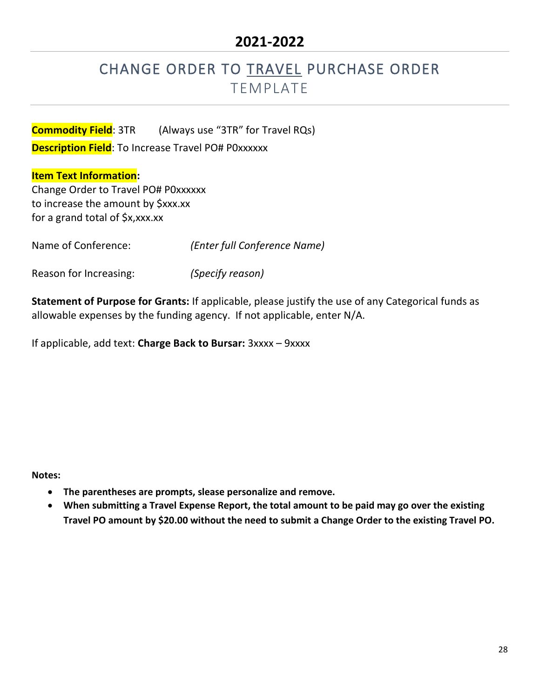# CHANGE ORDER TO TRAVEL PURCHASE ORDER TEMPLATE

**Commodity Field**: 3TR (Always use "3TR" for Travel RQs) **Description Field:** To Increase Travel PO# P0xxxxxx

#### **Item Text Information:**

Change Order to Travel PO# P0xxxxxx to increase the amount by \$xxx.xx for a grand total of \$x,xxx.xx

Name of Conference: *(Enter full Conference Name)*

Reason for Increasing: *(Specify reason)*

**Statement of Purpose for Grants:** If applicable, please justify the use of any Categorical funds as allowable expenses by the funding agency. If not applicable, enter N/A.

If applicable, add text: **Charge Back to Bursar:** 3xxxx – 9xxxx

- **The parentheses are prompts, slease personalize and remove.**
- **When submitting a Travel Expense Report, the total amount to be paid may go over the existing Travel PO amount by \$20.00 without the need to submit a Change Order to the existing Travel PO.**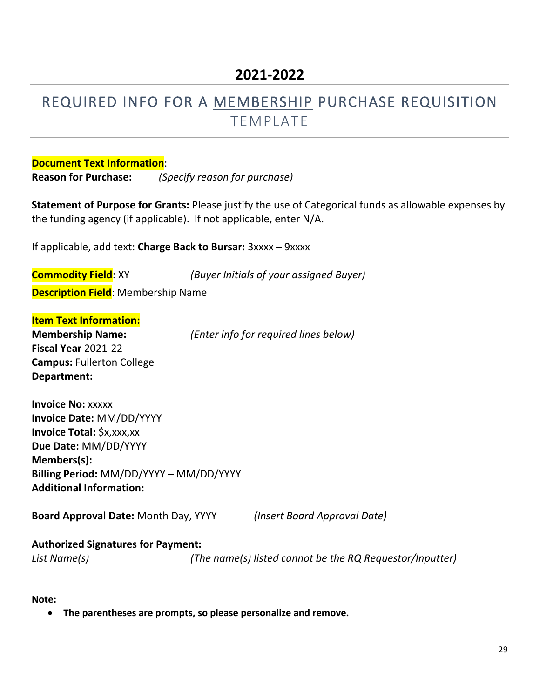### REQUIRED INFO FOR A MEMBERSHIP PURCHASE REQUISITION TEMPLATE

**Document Text Information**: **Reason for Purchase:** *(Specify reason for purchase)*

**Statement of Purpose for Grants:** Please justify the use of Categorical funds as allowable expenses by the funding agency (if applicable). If not applicable, enter N/A.

If applicable, add text: **Charge Back to Bursar:** 3xxxx – 9xxxx

| Commodity Field: XY                        | (Buyer Initials of your assigned Buyer) |  |
|--------------------------------------------|-----------------------------------------|--|
| <b>Description Field</b> : Membership Name |                                         |  |

**Item Text Information:**

**Membership Name:** *(Enter info for required lines below)* **Fiscal Year** 2021-22 **Campus:** Fullerton College **Department:**

**Invoice No:** xxxxx **Invoice Date:** MM/DD/YYYY **Invoice Total:** \$x,xxx,xx **Due Date:** MM/DD/YYYY **Members(s): Billing Period:** MM/DD/YYYY – MM/DD/YYYY **Additional Information:**

**Board Approval Date:** Month Day, YYYY *(Insert Board Approval Date)*

#### **Authorized Signatures for Payment:**

*List Name(s) (The name(s) listed cannot be the RQ Requestor/Inputter)*

**Note:** 

• **The parentheses are prompts, so please personalize and remove.**